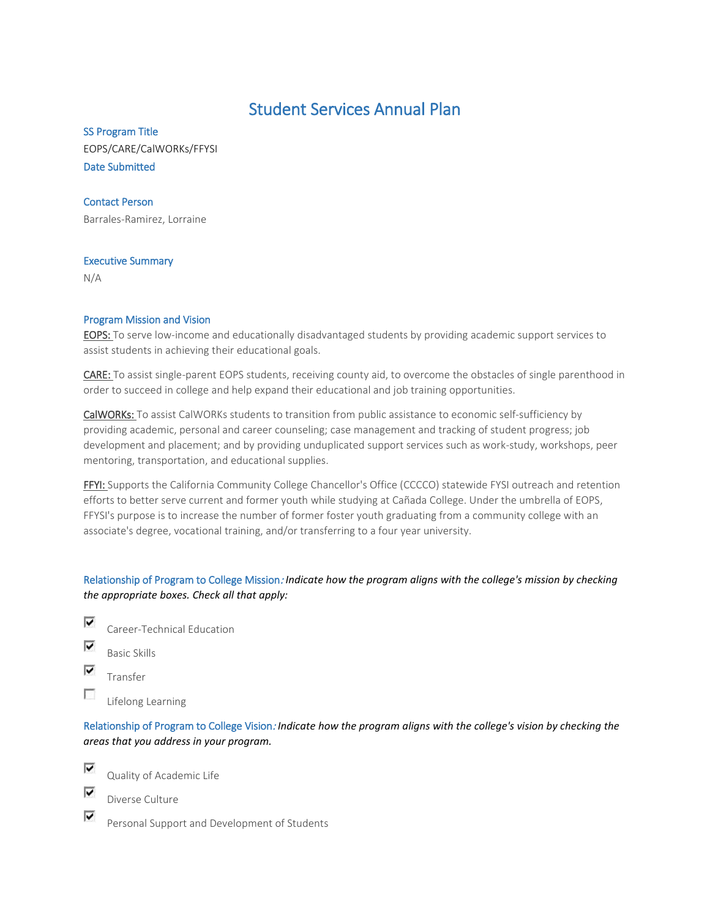# Student Services Annual Plan

SS Program Title EOPS/CARE/CalWORKs/FFYSI Date Submitted

## Contact Person

Barrales-Ramirez, Lorraine

## Executive Summary

N/A

## Program Mission and Vision

EOPS: To serve low-income and educationally disadvantaged students by providing academic support services to assist students in achieving their educational goals.

CARE: To assist single-parent EOPS students, receiving county aid, to overcome the obstacles of single parenthood in order to succeed in college and help expand their educational and job training opportunities.

CalWORKs: To assist CalWORKs students to transition from public assistance to economic self-sufficiency by providing academic, personal and career counseling; case management and tracking of student progress; job development and placement; and by providing unduplicated support services such as work-study, workshops, peer mentoring, transportation, and educational supplies.

FFYI: Supports the California Community College Chancellor's Office (CCCCO) statewide FYSI outreach and retention efforts to better serve current and former youth while studying at Cañada College. Under the umbrella of EOPS, FFYSI's purpose is to increase the number of former foster youth graduating from a community college with an associate's degree, vocational training, and/or transferring to a four year university.

Relationship of Program to College Mission: *Indicate how the program aligns with the college's mission by checking the appropriate boxes. Check all that apply:*

- ⊽ Career-Technical Education
- ⊽ Basic Skills
- ⊽ Transfer

п Lifelong Learning

Relationship of Program to College Vision: *Indicate how the program aligns with the college's vision by checking the areas that you address in your program.*



⊽

Quality of Academic Life

⊽ Diverse Culture

Personal Support and Development of Students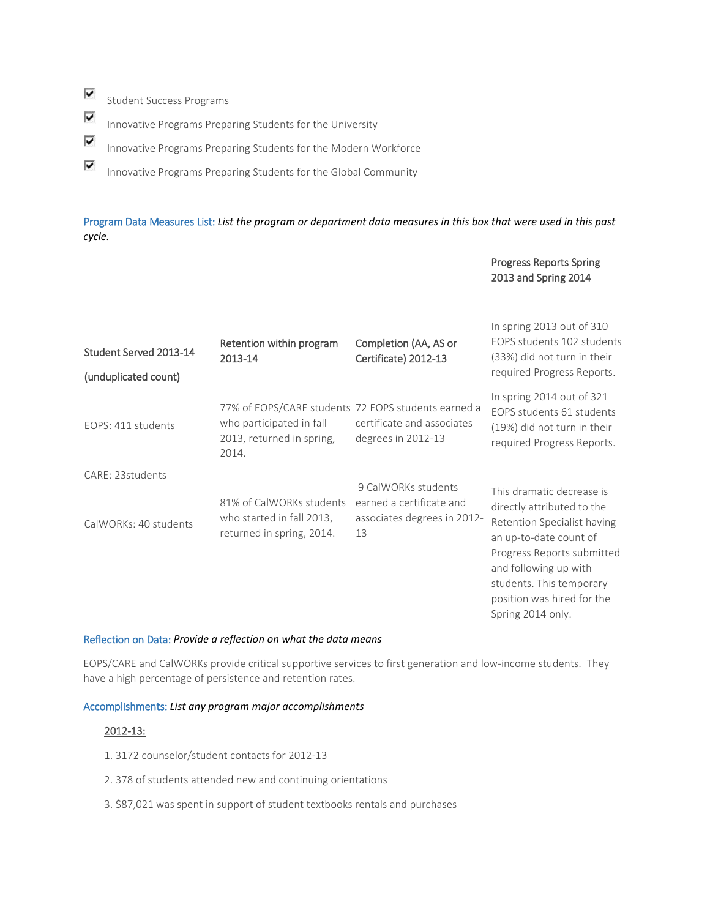⊽ Student Success Programs

⊽

 $\overline{\mathbf{v}}$ Innovative Programs Preparing Students for the University

⊽ Innovative Programs Preparing Students for the Modern Workforce

Innovative Programs Preparing Students for the Global Community

Program Data Measures List: *List the program or department data measures in this box that were used in this past cycle.*

## Progress Reports Spring 2013 and Spring 2014

| Student Served 2013-14<br>(unduplicated count) | Retention within program<br>2013-14                                                                                   | Completion (AA, AS or<br>Certificate) 2012-13                                        | In spring $2013$ out of $310$<br>EOPS students 102 students<br>(33%) did not turn in their<br>required Progress Reports.                                                                                                                               |
|------------------------------------------------|-----------------------------------------------------------------------------------------------------------------------|--------------------------------------------------------------------------------------|--------------------------------------------------------------------------------------------------------------------------------------------------------------------------------------------------------------------------------------------------------|
| EOPS: 411 students                             | 77% of EOPS/CARE students 72 EOPS students earned a<br>who participated in fall<br>2013, returned in spring,<br>2014. | certificate and associates<br>degrees in 2012-13                                     | In spring 2014 out of 321<br>EOPS students 61 students<br>(19%) did not turn in their<br>required Progress Reports.                                                                                                                                    |
| CARE: 23students<br>CalWORKs: 40 students      | 81% of CalWORKs students<br>who started in fall 2013,<br>returned in spring, 2014.                                    | 9 CalWORKs students<br>earned a certificate and<br>associates degrees in 2012-<br>13 | This dramatic decrease is<br>directly attributed to the<br>Retention Specialist having<br>an up-to-date count of<br>Progress Reports submitted<br>and following up with<br>students. This temporary<br>position was hired for the<br>Spring 2014 only. |

#### Reflection on Data: *Provide a reflection on what the data means*

EOPS/CARE and CalWORKs provide critical supportive services to first generation and low-income students. They have a high percentage of persistence and retention rates.

#### Accomplishments: *List any program major accomplishments*

#### 2012-13:

- 1. 3172 counselor/student contacts for 2012-13
- 2. 378 of students attended new and continuing orientations
- 3. \$87,021 was spent in support of student textbooks rentals and purchases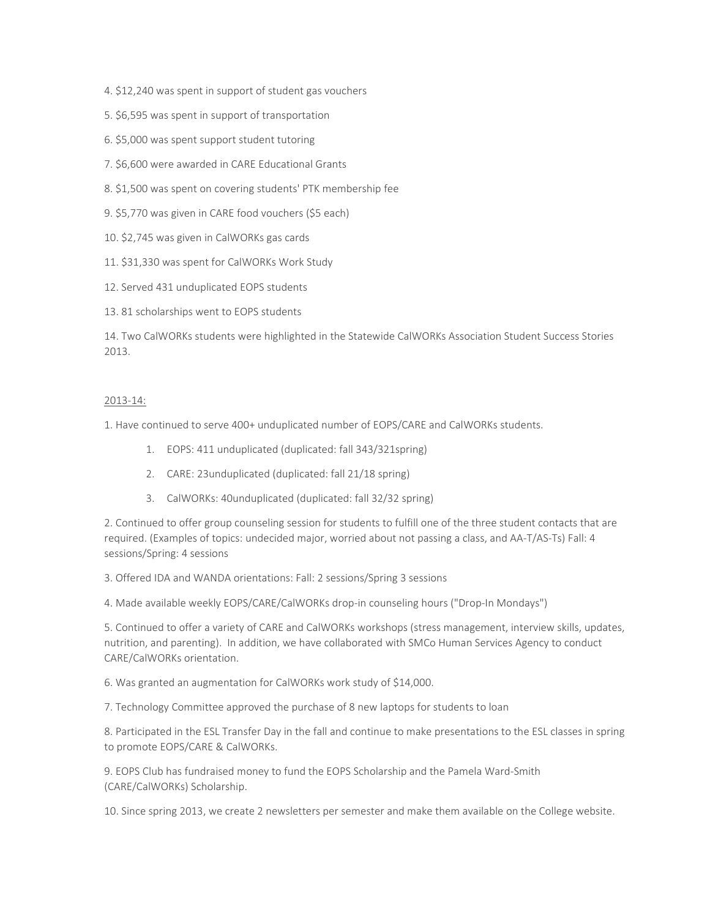- 4. \$12,240 was spent in support of student gas vouchers
- 5. \$6,595 was spent in support of transportation
- 6. \$5,000 was spent support student tutoring
- 7. \$6,600 were awarded in CARE Educational Grants
- 8. \$1,500 was spent on covering students' PTK membership fee
- 9. \$5,770 was given in CARE food vouchers (\$5 each)
- 10. \$2,745 was given in CalWORKs gas cards
- 11. \$31,330 was spent for CalWORKs Work Study
- 12. Served 431 unduplicated EOPS students
- 13. 81 scholarships went to EOPS students

14. Two CalWORKs students were highlighted in the Statewide CalWORKs Association Student Success Stories 2013.

#### 2013-14:

1. Have continued to serve 400+ unduplicated number of EOPS/CARE and CalWORKs students.

- 1. EOPS: 411 unduplicated (duplicated: fall 343/321spring)
- 2. CARE: 23unduplicated (duplicated: fall 21/18 spring)
- 3. CalWORKs: 40unduplicated (duplicated: fall 32/32 spring)

2. Continued to offer group counseling session for students to fulfill one of the three student contacts that are required. (Examples of topics: undecided major, worried about not passing a class, and AA-T/AS-Ts) Fall: 4 sessions/Spring: 4 sessions

3. Offered IDA and WANDA orientations: Fall: 2 sessions/Spring 3 sessions

4. Made available weekly EOPS/CARE/CalWORKs drop-in counseling hours ("Drop-In Mondays")

5. Continued to offer a variety of CARE and CalWORKs workshops (stress management, interview skills, updates, nutrition, and parenting). In addition, we have collaborated with SMCo Human Services Agency to conduct CARE/CalWORKs orientation.

6. Was granted an augmentation for CalWORKs work study of \$14,000.

7. Technology Committee approved the purchase of 8 new laptops for students to loan

8. Participated in the ESL Transfer Day in the fall and continue to make presentations to the ESL classes in spring to promote EOPS/CARE & CalWORKs.

9. EOPS Club has fundraised money to fund the EOPS Scholarship and the Pamela Ward-Smith (CARE/CalWORKs) Scholarship.

10. Since spring 2013, we create 2 newsletters per semester and make them available on the College website.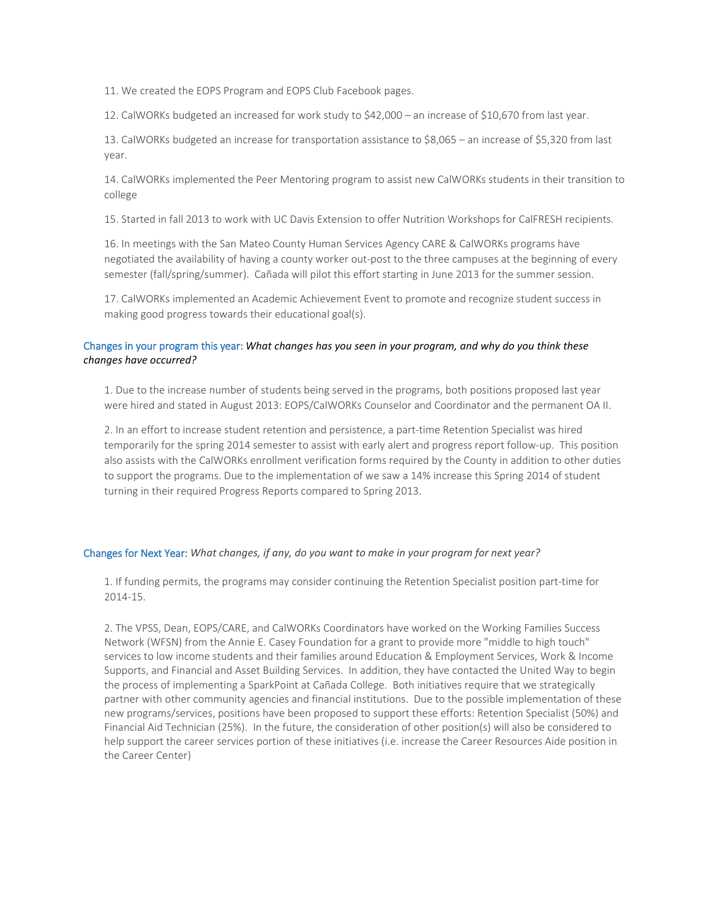11. We created the EOPS Program and EOPS Club Facebook pages.

12. CalWORKs budgeted an increased for work study to \$42,000 – an increase of \$10,670 from last year.

13. CalWORKs budgeted an increase for transportation assistance to \$8,065 – an increase of \$5,320 from last year.

14. CalWORKs implemented the Peer Mentoring program to assist new CalWORKs students in their transition to college

15. Started in fall 2013 to work with UC Davis Extension to offer Nutrition Workshops for CalFRESH recipients.

16. In meetings with the San Mateo County Human Services Agency CARE & CalWORKs programs have negotiated the availability of having a county worker out-post to the three campuses at the beginning of every semester (fall/spring/summer). Cañada will pilot this effort starting in June 2013 for the summer session.

17. CalWORKs implemented an Academic Achievement Event to promote and recognize student success in making good progress towards their educational goal(s).

## Changes in your program this year: *What changes has you seen in your program, and why do you think these changes have occurred?*

1. Due to the increase number of students being served in the programs, both positions proposed last year were hired and stated in August 2013: EOPS/CalWORKs Counselor and Coordinator and the permanent OA II.

2. In an effort to increase student retention and persistence, a part-time Retention Specialist was hired temporarily for the spring 2014 semester to assist with early alert and progress report follow-up. This position also assists with the CalWORKs enrollment verification forms required by the County in addition to other duties to support the programs. Due to the implementation of we saw a 14% increase this Spring 2014 of student turning in their required Progress Reports compared to Spring 2013.

## Changes for Next Year: *What changes, if any, do you want to make in your program for next year?*

1. If funding permits, the programs may consider continuing the Retention Specialist position part-time for 2014-15.

2. The VPSS, Dean, EOPS/CARE, and CalWORKs Coordinators have worked on the Working Families Success Network (WFSN) from the Annie E. Casey Foundation for a grant to provide more "middle to high touch" services to low income students and their families around Education & Employment Services, Work & Income Supports, and Financial and Asset Building Services. In addition, they have contacted the United Way to begin the process of implementing a SparkPoint at Cañada College. Both initiatives require that we strategically partner with other community agencies and financial institutions. Due to the possible implementation of these new programs/services, positions have been proposed to support these efforts: Retention Specialist (50%) and Financial Aid Technician (25%). In the future, the consideration of other position(s) will also be considered to help support the career services portion of these initiatives (i.e. increase the Career Resources Aide position in the Career Center)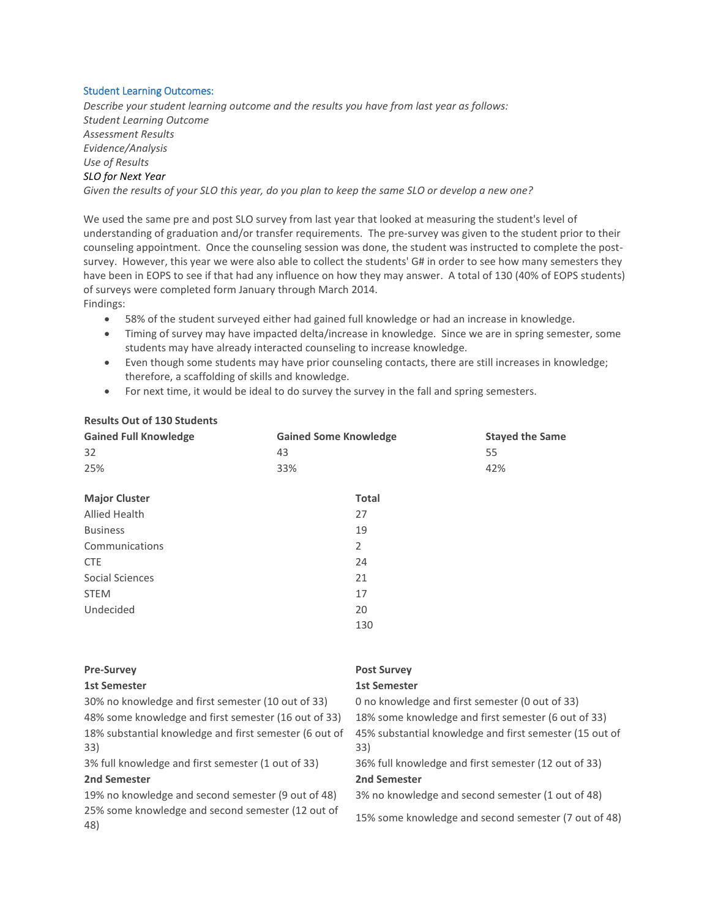#### Student Learning Outcomes:

**Results Out of 130 Students** 

*Describe your student learning outcome and the results you have from last year as follows: Student Learning Outcome Assessment Results Evidence/Analysis Use of Results SLO for Next Year*

*Given the results of your SLO this year, do you plan to keep the same SLO or develop a new one?*

We used the same pre and post SLO survey from last year that looked at measuring the student's level of understanding of graduation and/or transfer requirements. The pre-survey was given to the student prior to their counseling appointment. Once the counseling session was done, the student was instructed to complete the postsurvey. However, this year we were also able to collect the students' G# in order to see how many semesters they have been in EOPS to see if that had any influence on how they may answer. A total of 130 (40% of EOPS students) of surveys were completed form January through March 2014. Findings:

• 58% of the student surveyed either had gained full knowledge or had an increase in knowledge.

- Timing of survey may have impacted delta/increase in knowledge. Since we are in spring semester, some students may have already interacted counseling to increase knowledge.
- Even though some students may have prior counseling contacts, there are still increases in knowledge; therefore, a scaffolding of skills and knowledge.
- For next time, it would be ideal to do survey the survey in the fall and spring semesters.

| <b>Gained Full Knowledge</b> | <b>Gained Some Knowledge</b> | <b>Stayed the Same</b> |
|------------------------------|------------------------------|------------------------|
| 32                           | 43                           | 55                     |
| 25%                          | 33%                          | 42%                    |
|                              | <b>Total</b>                 |                        |
| <b>Major Cluster</b>         |                              |                        |
| Allied Health                | 27                           |                        |
| <b>Business</b>              | 19                           |                        |
| Communications               | 2                            |                        |
| <b>CTE</b>                   | 24                           |                        |
| Social Sciences              | 21                           |                        |
| <b>STEM</b>                  | 17                           |                        |
| Undecided                    | 20                           |                        |
|                              | 130                          |                        |
|                              |                              |                        |

| <b>Post Survey</b>                                      |
|---------------------------------------------------------|
| <b>1st Semester</b>                                     |
| 0 no knowledge and first semester (0 out of 33)         |
| 18% some knowledge and first semester (6 out of 33)     |
| 45% substantial knowledge and first semester (15 out of |
| 33)                                                     |
| 36% full knowledge and first semester (12 out of 33)    |
| 2nd Semester                                            |
| 3% no knowledge and second semester (1 out of 48)       |
| 15% some knowledge and second semester (7 out of 48)    |
|                                                         |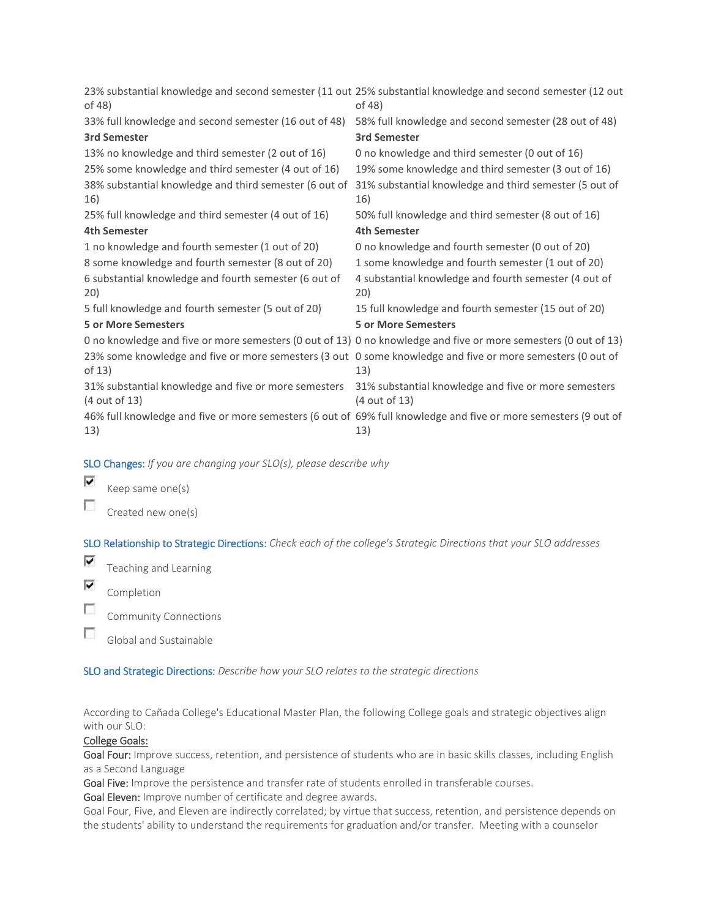| of 48)                                                                | 23% substantial knowledge and second semester (11 out 25% substantial knowledge and second semester (12 out<br>of 48)  |
|-----------------------------------------------------------------------|------------------------------------------------------------------------------------------------------------------------|
| 33% full knowledge and second semester (16 out of 48)                 | 58% full knowledge and second semester (28 out of 48)                                                                  |
| <b>3rd Semester</b>                                                   | <b>3rd Semester</b>                                                                                                    |
| 13% no knowledge and third semester (2 out of 16)                     | 0 no knowledge and third semester (0 out of 16)                                                                        |
| 25% some knowledge and third semester (4 out of 16)                   | 19% some knowledge and third semester (3 out of 16)                                                                    |
| 38% substantial knowledge and third semester (6 out of<br>16)         | 31% substantial knowledge and third semester (5 out of<br>16)                                                          |
| 25% full knowledge and third semester (4 out of 16)                   | 50% full knowledge and third semester (8 out of 16)                                                                    |
| <b>4th Semester</b>                                                   | <b>4th Semester</b>                                                                                                    |
| 1 no knowledge and fourth semester (1 out of 20)                      | 0 no knowledge and fourth semester (0 out of 20)                                                                       |
| 8 some knowledge and fourth semester (8 out of 20)                    | 1 some knowledge and fourth semester (1 out of 20)                                                                     |
| 6 substantial knowledge and fourth semester (6 out of<br>20)          | 4 substantial knowledge and fourth semester (4 out of<br>20)                                                           |
| 5 full knowledge and fourth semester (5 out of 20)                    | 15 full knowledge and fourth semester (15 out of 20)                                                                   |
| <b>5 or More Semesters</b>                                            | <b>5 or More Semesters</b>                                                                                             |
|                                                                       | 0 no knowledge and five or more semesters (0 out of 13) 0 no knowledge and five or more semesters (0 out of 13)        |
| of 13)                                                                | 23% some knowledge and five or more semesters (3 out 0 some knowledge and five or more semesters (0 out of<br>13)      |
| 31% substantial knowledge and five or more semesters<br>(4 out of 13) | 31% substantial knowledge and five or more semesters<br>(4 out of 13)                                                  |
| 13)                                                                   | 46% full knowledge and five or more semesters (6 out of 69% full knowledge and five or more semesters (9 out of<br>13) |

SLO Changes: *If you are changing your SLO(s), please describe why*

⊽ Keep same one(s)

 $\overline{\phantom{a}}$ Created new one(s)

SLO Relationship to Strategic Directions: *Check each of the college's Strategic Directions that your SLO addresses*

- ⊽ Teaching and Learning
- $\overline{\mathbf{v}}$ Completion
- $\mathcal{L}_{\mathcal{L}}$ Community Connections
- П Global and Sustainable

SLO and Strategic Directions: *Describe how your SLO relates to the strategic directions*

According to Cañada College's Educational Master Plan, the following College goals and strategic objectives align with our SLO:

## College Goals:

Goal Four: Improve success, retention, and persistence of students who are in basic skills classes, including English as a Second Language

Goal Five: Improve the persistence and transfer rate of students enrolled in transferable courses.

Goal Eleven: Improve number of certificate and degree awards.

Goal Four, Five, and Eleven are indirectly correlated; by virtue that success, retention, and persistence depends on the students' ability to understand the requirements for graduation and/or transfer. Meeting with a counselor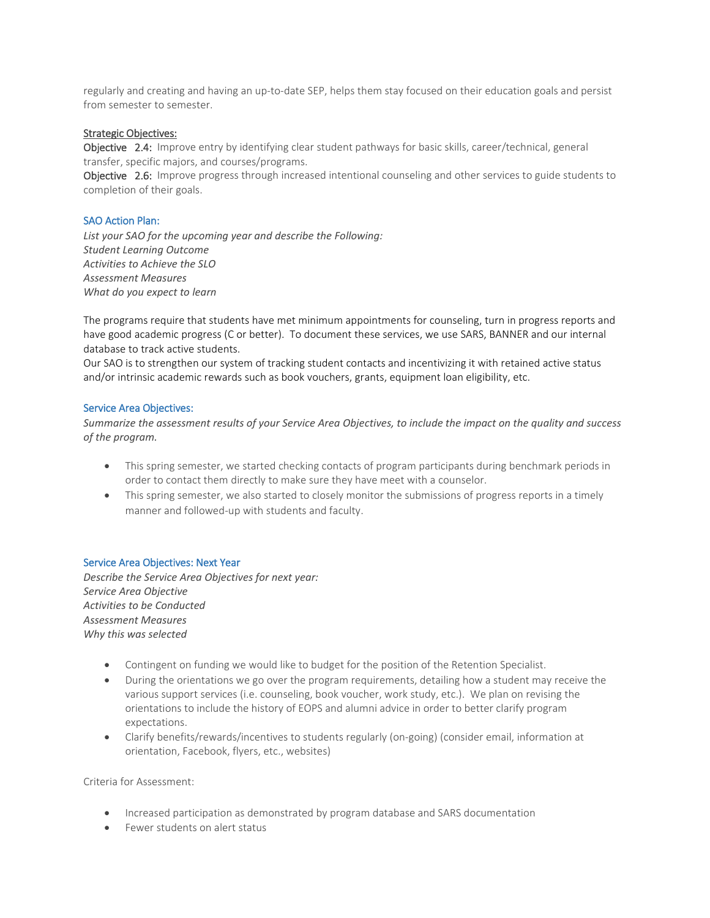regularly and creating and having an up-to-date SEP, helps them stay focused on their education goals and persist from semester to semester.

#### Strategic Objectives:

Objective 2.4: Improve entry by identifying clear student pathways for basic skills, career/technical, general transfer, specific majors, and courses/programs.

Objective 2.6: Improve progress through increased intentional counseling and other services to guide students to completion of their goals.

#### SAO Action Plan:

*List your SAO for the upcoming year and describe the Following: Student Learning Outcome Activities to Achieve the SLO Assessment Measures What do you expect to learn*

The programs require that students have met minimum appointments for counseling, turn in progress reports and have good academic progress (C or better). To document these services, we use SARS, BANNER and our internal database to track active students.

Our SAO is to strengthen our system of tracking student contacts and incentivizing it with retained active status and/or intrinsic academic rewards such as book vouchers, grants, equipment loan eligibility, etc.

#### Service Area Objectives:

*Summarize the assessment results of your Service Area Objectives, to include the impact on the quality and success of the program.*

- This spring semester, we started checking contacts of program participants during benchmark periods in order to contact them directly to make sure they have meet with a counselor.
- This spring semester, we also started to closely monitor the submissions of progress reports in a timely manner and followed-up with students and faculty.

#### Service Area Objectives: Next Year

*Describe the Service Area Objectives for next year: Service Area Objective Activities to be Conducted Assessment Measures Why this was selected*

- Contingent on funding we would like to budget for the position of the Retention Specialist.
- During the orientations we go over the program requirements, detailing how a student may receive the various support services (i.e. counseling, book voucher, work study, etc.). We plan on revising the orientations to include the history of EOPS and alumni advice in order to better clarify program expectations.
- Clarify benefits/rewards/incentives to students regularly (on-going) (consider email, information at orientation, Facebook, flyers, etc., websites)

Criteria for Assessment:

- Increased participation as demonstrated by program database and SARS documentation
- Fewer students on alert status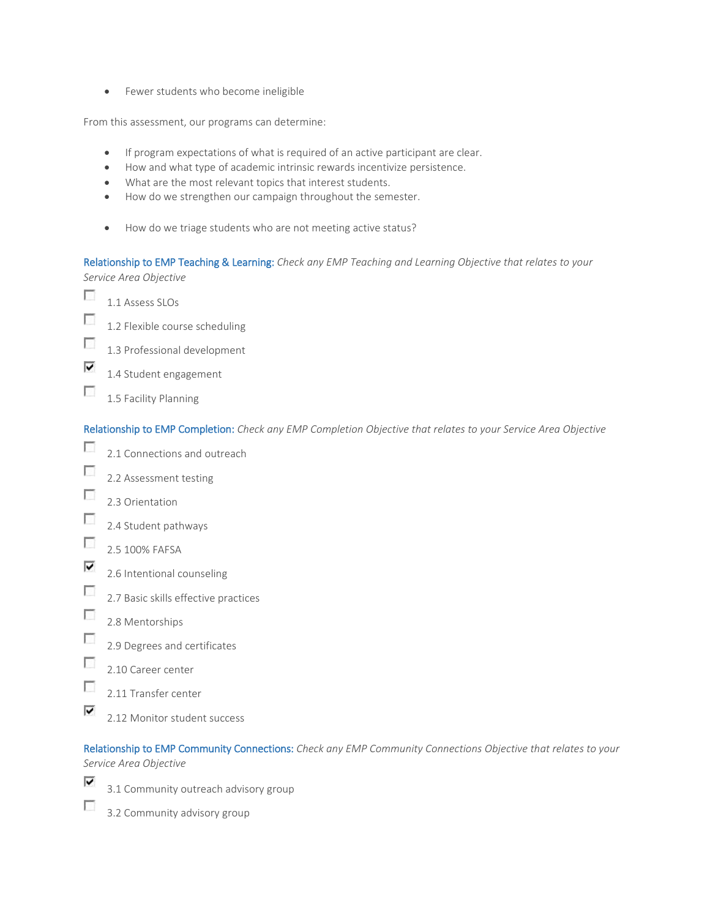• Fewer students who become ineligible

From this assessment, our programs can determine:

- If program expectations of what is required of an active participant are clear.
- How and what type of academic intrinsic rewards incentivize persistence.
- What are the most relevant topics that interest students.
- How do we strengthen our campaign throughout the semester.
- How do we triage students who are not meeting active status?

Relationship to EMP Teaching & Learning: *Check any EMP Teaching and Learning Objective that relates to your Service Area Objective*

- г 1.1 Assess SLOs
- $\overline{\mathcal{L}}$ 1.2 Flexible course scheduling
- $\mathcal{L}_{\mathcal{L}}$ 1.3 Professional development
- ⊽ 1.4 Student engagement
- $\overline{\phantom{a}}$ 1.5 Facility Planning

Relationship to EMP Completion: *Check any EMP Completion Objective that relates to your Service Area Objective*

- $\overline{\phantom{a}}$ 2.1 Connections and outreach
- П 2.2 Assessment testing
- $\overline{\mathcal{L}}$ 2.3 Orientation
- $\overline{\mathcal{L}}$ 2.4 Student pathways
- $\overline{\phantom{a}}$ 2.5 100% FAFSA
- ⊽ 2.6 Intentional counseling
- $\Box$ 2.7 Basic skills effective practices
- $\overline{\mathcal{L}}$ 2.8 Mentorships
- $\overline{\phantom{a}}$ 2.9 Degrees and certificates
- $\overline{\mathcal{L}}$ 2.10 Career center
- г 2.11 Transfer center
- ⊽ 2.12 Monitor student success

Relationship to EMP Community Connections: *Check any EMP Community Connections Objective that relates to your Service Area Objective*

- ⊽ 3.1 Community outreach advisory group
- $\sim$ 3.2 Community advisory group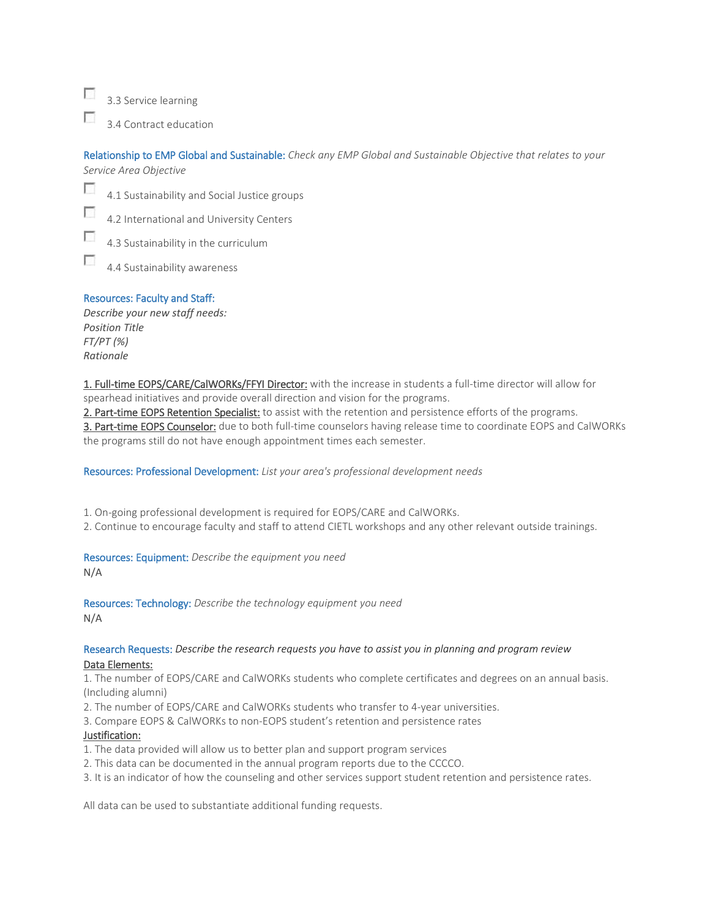$\sim$ 3.3 Service learning

П 3.4 Contract education

Relationship to EMP Global and Sustainable: *Check any EMP Global and Sustainable Objective that relates to your* 

*Service Area Objective*

п

 $\overline{\phantom{a}}$ 4.1 Sustainability and Social Justice groups

Ð 4.2 International and University Centers

 $\overline{\phantom{a}}$ 4.3 Sustainability in the curriculum

4.4 Sustainability awareness

# Resources: Faculty and Staff:

*Describe your new staff needs: Position Title FT/PT (%) Rationale*

1. Full-time EOPS/CARE/CalWORKs/FFYI Director: with the increase in students a full-time director will allow for spearhead initiatives and provide overall direction and vision for the programs.

2. Part-time EOPS Retention Specialist: to assist with the retention and persistence efforts of the programs.

3. Part-time EOPS Counselor: due to both full-time counselors having release time to coordinate EOPS and CalWORKs the programs still do not have enough appointment times each semester.

Resources: Professional Development: *List your area's professional development needs*

1. On-going professional development is required for EOPS/CARE and CalWORKs.

2. Continue to encourage faculty and staff to attend CIETL workshops and any other relevant outside trainings.

Resources: Equipment: *Describe the equipment you need*

N/A

Resources: Technology: *Describe the technology equipment you need* N/A

## Research Requests: *Describe the research requests you have to assist you in planning and program review* Data Elements:

1. The number of EOPS/CARE and CalWORKs students who complete certificates and degrees on an annual basis. (Including alumni)

2. The number of EOPS/CARE and CalWORKs students who transfer to 4-year universities.

3. Compare EOPS & CalWORKs to non-EOPS student's retention and persistence rates

# Justification:

- 1. The data provided will allow us to better plan and support program services
- 2. This data can be documented in the annual program reports due to the CCCCO.
- 3. It is an indicator of how the counseling and other services support student retention and persistence rates.

All data can be used to substantiate additional funding requests.